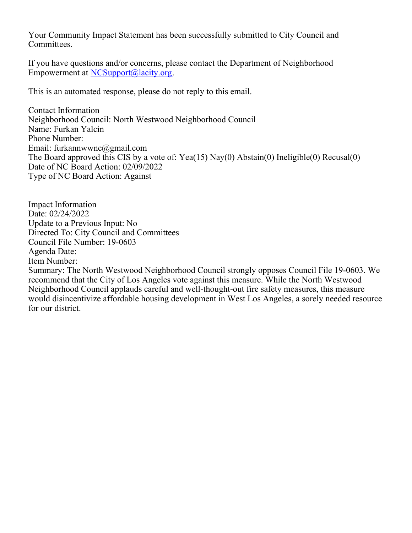Your Community Impact Statement has been successfully submitted to City Council and Committees.

If you have questions and/or concerns, please contact the Department of Neighborhood Empowerment at [NCSupport@lacity.org](mailto:NCSupport@lacity.org).

This is an automated response, please do not reply to this email.

Contact Information Neighborhood Council: North Westwood Neighborhood Council Name: Furkan Yalcin Phone Number: Email: furkannwwnc@gmail.com The Board approved this CIS by a vote of: Yea(15) Nay(0) Abstain(0) Ineligible(0) Recusal(0) Date of NC Board Action: 02/09/2022 Type of NC Board Action: Against

Impact Information Date: 02/24/2022 Update to a Previous Input: No Directed To: City Council and Committees Council File Number: 19-0603 Agenda Date: Item Number: Summary: The North Westwood Neighborhood Council strongly opposes Council File 19-0603. We recommend that the City of Los Angeles vote against this measure. While the North Westwood Neighborhood Council applauds careful and well-thought-out fire safety measures, this measure would disincentivize affordable housing development in West Los Angeles, a sorely needed resource for our district.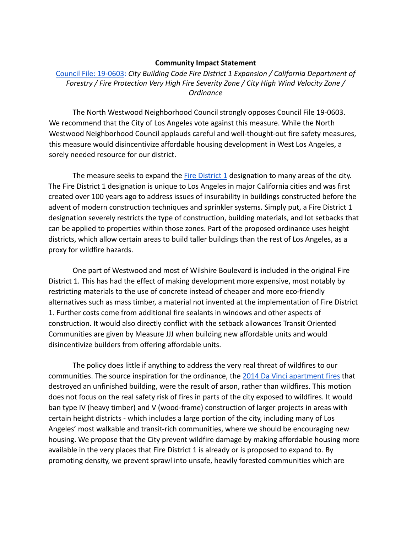## **Community Impact Statement**

[Council File: 19-0603:](https://cityclerk.lacity.org/lacityclerkconnect/index.cfm?fa=ccfi.viewrecord&cfnumber=19-0603) *City Building Code Fire District 1 Expansion / California Department of Forestry / Fire Protection Very High Fire Severity Zone / City High Wind Velocity Zone / Ordinance*

The North Westwood Neighborhood Council strongly opposes Council File 19-0603. We recommend that the City of Los Angeles vote against this measure. While the North Westwood Neighborhood Council applauds careful and well-thought-out fire safety measures, this measure would disincentivize affordable housing development in West Los Angeles, a sorely needed resource for our district.

The measure seeks to expand the [Fire District 1](https://www.arcgis.com/home/item.html?id=1921348ff96a41cea648a0ed6e121364) designation to many areas of the city. The Fire District 1 designation is unique to Los Angeles in major California cities and was first created over 100 years ago to address issues of insurability in buildings constructed before the advent of modern construction techniques and sprinkler systems. Simply put, a Fire District 1 designation severely restricts the type of construction, building materials, and lot setbacks that can be applied to properties within those zones. Part of the proposed ordinance uses height districts, which allow certain areas to build taller buildings than the rest of Los Angeles, as a proxy for wildfire hazards.

One part of Westwood and most of Wilshire Boulevard is included in the original Fire District 1. This has had the effect of making development more expensive, most notably by restricting materials to the use of concrete instead of cheaper and more eco-friendly alternatives such as mass timber, a material not invented at the implementation of Fire District 1. Further costs come from additional fire sealants in windows and other aspects of construction. It would also directly conflict with the setback allowances Transit Oriented Communities are given by Measure JJJ when building new affordable units and would disincentivize builders from offering affordable units.

The policy does little if anything to address the very real threat of wildfires to our communities. The source inspiration for the ordinance, the [2014 Da Vinci apartment fires](https://www.atf.gov/news/pr/da-vinci-apt-arsonists-takes-15-year-plea-100-million-fire) that destroyed an unfinished building, were the result of arson, rather than wildfires. This motion does not focus on the real safety risk of fires in parts of the city exposed to wildfires. It would ban type IV (heavy timber) and V (wood-frame) construction of larger projects in areas with certain height districts - which includes a large portion of the city, including many of Los Angeles' most walkable and transit-rich communities, where we should be encouraging new housing. We propose that the City prevent wildfire damage by making affordable housing more available in the very places that Fire District 1 is already or is proposed to expand to. By promoting density, we prevent sprawl into unsafe, heavily forested communities which are